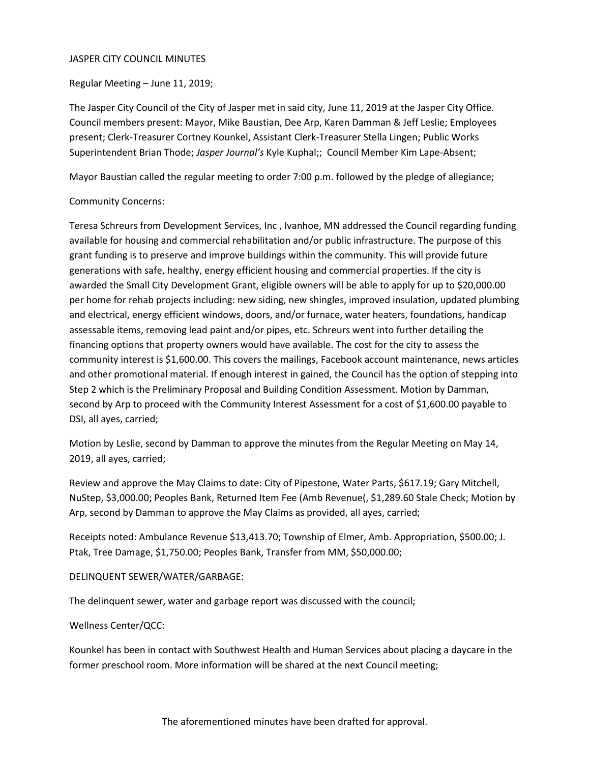### JASPER CITY COUNCIL MINUTES

Regular Meeting – June 11, 2019;

The Jasper City Council of the City of Jasper met in said city, June 11, 2019 at the Jasper City Office. Council members present: Mayor, Mike Baustian, Dee Arp, Karen Damman & Jeff Leslie; Employees present; Clerk-Treasurer Cortney Kounkel, Assistant Clerk-Treasurer Stella Lingen; Public Works Superintendent Brian Thode; *Jasper Journal's* Kyle Kuphal;; Council Member Kim Lape-Absent;

Mayor Baustian called the regular meeting to order 7:00 p.m. followed by the pledge of allegiance;

# Community Concerns:

Teresa Schreurs from Development Services, Inc , Ivanhoe, MN addressed the Council regarding funding available for housing and commercial rehabilitation and/or public infrastructure. The purpose of this grant funding is to preserve and improve buildings within the community. This will provide future generations with safe, healthy, energy efficient housing and commercial properties. If the city is awarded the Small City Development Grant, eligible owners will be able to apply for up to \$20,000.00 per home for rehab projects including: new siding, new shingles, improved insulation, updated plumbing and electrical, energy efficient windows, doors, and/or furnace, water heaters, foundations, handicap assessable items, removing lead paint and/or pipes, etc. Schreurs went into further detailing the financing options that property owners would have available. The cost for the city to assess the community interest is \$1,600.00. This covers the mailings, Facebook account maintenance, news articles and other promotional material. If enough interest in gained, the Council has the option of stepping into Step 2 which is the Preliminary Proposal and Building Condition Assessment. Motion by Damman, second by Arp to proceed with the Community Interest Assessment for a cost of \$1,600.00 payable to DSI, all ayes, carried;

Motion by Leslie, second by Damman to approve the minutes from the Regular Meeting on May 14, 2019, all ayes, carried;

Review and approve the May Claims to date: City of Pipestone, Water Parts, \$617.19; Gary Mitchell, NuStep, \$3,000.00; Peoples Bank, Returned Item Fee (Amb Revenue(, \$1,289.60 Stale Check; Motion by Arp, second by Damman to approve the May Claims as provided, all ayes, carried;

Receipts noted: Ambulance Revenue \$13,413.70; Township of Elmer, Amb. Appropriation, \$500.00; J. Ptak, Tree Damage, \$1,750.00; Peoples Bank, Transfer from MM, \$50,000.00;

### DELINQUENT SEWER/WATER/GARBAGE:

The delinquent sewer, water and garbage report was discussed with the council;

### Wellness Center/QCC:

Kounkel has been in contact with Southwest Health and Human Services about placing a daycare in the former preschool room. More information will be shared at the next Council meeting;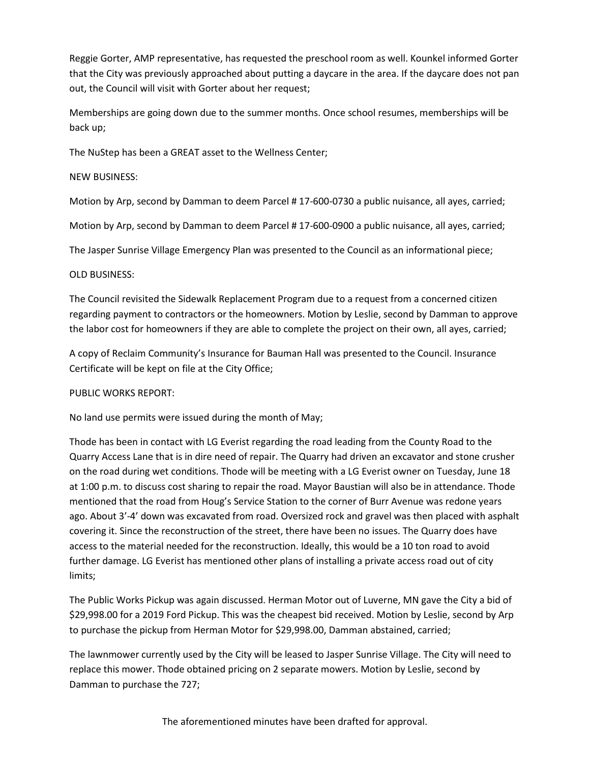Reggie Gorter, AMP representative, has requested the preschool room as well. Kounkel informed Gorter that the City was previously approached about putting a daycare in the area. If the daycare does not pan out, the Council will visit with Gorter about her request;

Memberships are going down due to the summer months. Once school resumes, memberships will be back up;

The NuStep has been a GREAT asset to the Wellness Center;

# NEW BUSINESS:

Motion by Arp, second by Damman to deem Parcel # 17-600-0730 a public nuisance, all ayes, carried;

Motion by Arp, second by Damman to deem Parcel # 17-600-0900 a public nuisance, all ayes, carried;

The Jasper Sunrise Village Emergency Plan was presented to the Council as an informational piece;

# OLD BUSINESS:

The Council revisited the Sidewalk Replacement Program due to a request from a concerned citizen regarding payment to contractors or the homeowners. Motion by Leslie, second by Damman to approve the labor cost for homeowners if they are able to complete the project on their own, all ayes, carried;

A copy of Reclaim Community's Insurance for Bauman Hall was presented to the Council. Insurance Certificate will be kept on file at the City Office;

### PUBLIC WORKS REPORT:

No land use permits were issued during the month of May;

Thode has been in contact with LG Everist regarding the road leading from the County Road to the Quarry Access Lane that is in dire need of repair. The Quarry had driven an excavator and stone crusher on the road during wet conditions. Thode will be meeting with a LG Everist owner on Tuesday, June 18 at 1:00 p.m. to discuss cost sharing to repair the road. Mayor Baustian will also be in attendance. Thode mentioned that the road from Houg's Service Station to the corner of Burr Avenue was redone years ago. About 3'-4' down was excavated from road. Oversized rock and gravel was then placed with asphalt covering it. Since the reconstruction of the street, there have been no issues. The Quarry does have access to the material needed for the reconstruction. Ideally, this would be a 10 ton road to avoid further damage. LG Everist has mentioned other plans of installing a private access road out of city limits;

The Public Works Pickup was again discussed. Herman Motor out of Luverne, MN gave the City a bid of \$29,998.00 for a 2019 Ford Pickup. This was the cheapest bid received. Motion by Leslie, second by Arp to purchase the pickup from Herman Motor for \$29,998.00, Damman abstained, carried;

The lawnmower currently used by the City will be leased to Jasper Sunrise Village. The City will need to replace this mower. Thode obtained pricing on 2 separate mowers. Motion by Leslie, second by Damman to purchase the 727;